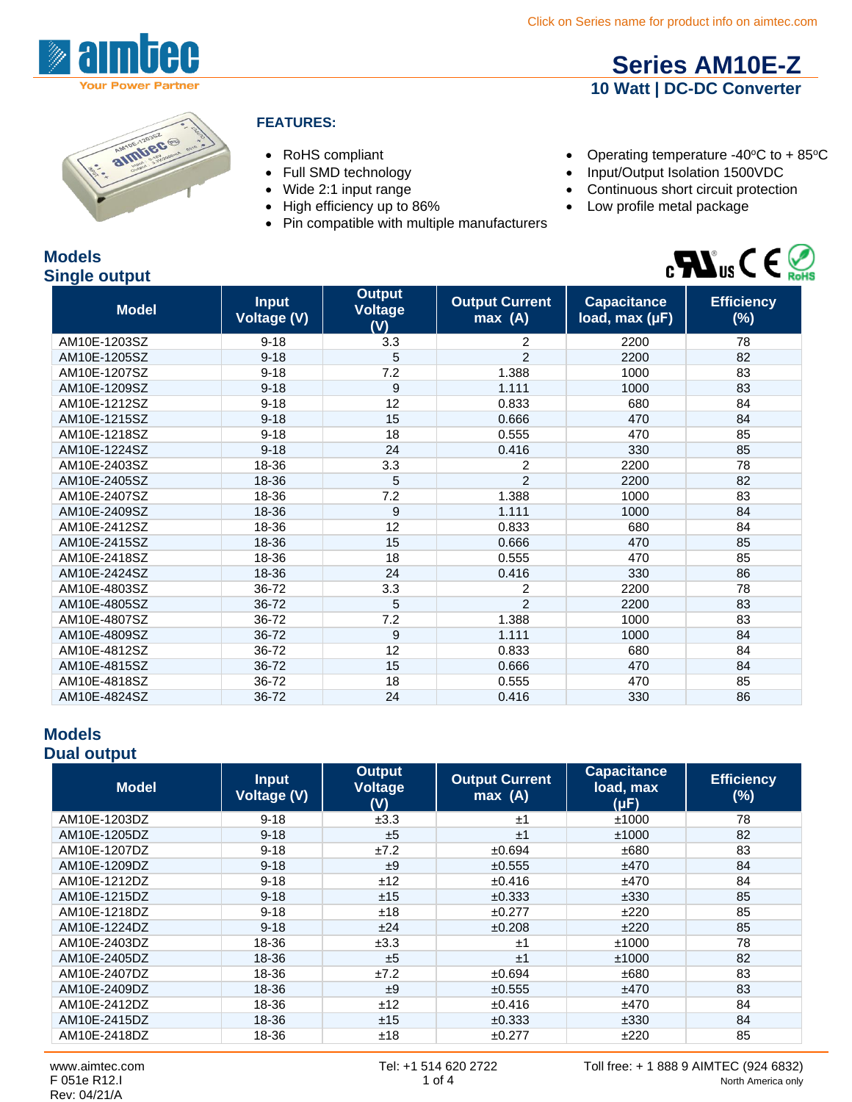



#### **FEATURES:**

- 
- 
- 
- 
- Pin compatible with multiple manufacturers
- RoHS compliant Compliant Operating temperature -40°C to + 85°C

**[Series AM10E-Z](http://www.aimtec.com/am10e-z) 10 Watt | DC-DC Converter**

- Full SMD technology **•** Input/Output Isolation 1500VDC
- Wide 2:1 input range  **Continuous short circuit protection**
- High efficiency up to 86% Low profile metal package



| <b>Models</b>        |
|----------------------|
| <b>Single output</b> |

| <b>Model</b> | <b>Input</b><br><b>Voltage (V)</b> | <b>Output</b><br><b>Voltage</b><br>(V) | <b>Output Current</b><br>max(A) | <b>Capacitance</b><br>load, max (µF) | <b>Efficiency</b><br>$(\%)$ |
|--------------|------------------------------------|----------------------------------------|---------------------------------|--------------------------------------|-----------------------------|
| AM10E-1203SZ | $9 - 18$                           | 3.3                                    | 2                               | 2200                                 | 78                          |
| AM10E-1205SZ | $9 - 18$                           | 5                                      | $\overline{2}$                  | 2200                                 | 82                          |
| AM10E-1207SZ | $9 - 18$                           | 7.2                                    | 1.388                           | 1000                                 | 83                          |
| AM10E-1209SZ | $9 - 18$                           | 9                                      | 1.111                           | 1000                                 | 83                          |
| AM10E-1212SZ | $9 - 18$                           | 12                                     | 0.833                           | 680                                  | 84                          |
| AM10E-1215SZ | $9 - 18$                           | 15                                     | 0.666                           | 470                                  | 84                          |
| AM10E-1218SZ | $9 - 18$                           | 18                                     | 0.555                           | 470                                  | 85                          |
| AM10E-1224SZ | $9 - 18$                           | 24                                     | 0.416                           | 330                                  | 85                          |
| AM10E-2403SZ | 18-36                              | 3.3                                    | 2                               | 2200                                 | 78                          |
| AM10E-2405SZ | 18-36                              | 5                                      | $\overline{2}$                  | 2200                                 | 82                          |
| AM10E-2407SZ | 18-36                              | 7.2                                    | 1.388                           | 1000                                 | 83                          |
| AM10E-2409SZ | 18-36                              | 9                                      | 1.111                           | 1000                                 | 84                          |
| AM10E-2412SZ | 18-36                              | 12                                     | 0.833                           | 680                                  | 84                          |
| AM10E-2415SZ | 18-36                              | 15                                     | 0.666                           | 470                                  | 85                          |
| AM10E-2418SZ | 18-36                              | 18                                     | 0.555                           | 470                                  | 85                          |
| AM10E-2424SZ | 18-36                              | 24                                     | 0.416                           | 330                                  | 86                          |
| AM10E-4803SZ | 36-72                              | 3.3                                    | 2                               | 2200                                 | 78                          |
| AM10E-4805SZ | 36-72                              | 5                                      | $\overline{2}$                  | 2200                                 | 83                          |
| AM10E-4807SZ | 36-72                              | 7.2                                    | 1.388                           | 1000                                 | 83                          |
| AM10E-4809SZ | 36-72                              | 9                                      | 1.111                           | 1000                                 | 84                          |
| AM10E-4812SZ | 36-72                              | 12                                     | 0.833                           | 680                                  | 84                          |
| AM10E-4815SZ | 36-72                              | 15                                     | 0.666                           | 470                                  | 84                          |
| AM10E-4818SZ | 36-72                              | 18                                     | 0.555                           | 470                                  | 85                          |
| AM10E-4824SZ | 36-72                              | 24                                     | 0.416                           | 330                                  | 86                          |

#### **Models Dual output**

| <b>Model</b> | <b>Input</b><br><b>Voltage (V)</b> | <b>Output</b><br><b>Voltage</b><br>(V) | <b>Output Current</b><br>max(A) | <b>Capacitance</b><br>load, max<br>$(\mu F)$ | <b>Efficiency</b><br>$(\%)$ |
|--------------|------------------------------------|----------------------------------------|---------------------------------|----------------------------------------------|-----------------------------|
| AM10E-1203DZ | $9 - 18$                           | ±3.3                                   | ±1                              | ±1000                                        | 78                          |
| AM10E-1205DZ | $9 - 18$                           | ±5                                     | ±1                              | ±1000                                        | 82                          |
| AM10E-1207DZ | $9 - 18$                           | ±7.2                                   | ±0.694                          | ±680                                         | 83                          |
| AM10E-1209DZ | $9 - 18$                           | ±9                                     | ±0.555                          | ±470                                         | 84                          |
| AM10E-1212DZ | $9 - 18$                           | ±12                                    | $\pm 0.416$                     | ±470                                         | 84                          |
| AM10E-1215DZ | $9 - 18$                           | ±15                                    | ±0.333                          | ±330                                         | 85                          |
| AM10E-1218DZ | $9 - 18$                           | ±18                                    | ±0.277                          | ±220                                         | 85                          |
| AM10E-1224DZ | $9 - 18$                           | ±24                                    | ±0.208                          | ±220                                         | 85                          |
| AM10E-2403DZ | 18-36                              | ±3.3                                   | ±1                              | ±1000                                        | 78                          |
| AM10E-2405DZ | 18-36                              | ±5                                     | ±1                              | ±1000                                        | 82                          |
| AM10E-2407DZ | 18-36                              | ±7.2                                   | ±0.694                          | ±680                                         | 83                          |
| AM10E-2409DZ | 18-36                              | ±9                                     | ±0.555                          | ±470                                         | 83                          |
| AM10E-2412DZ | 18-36                              | ±12                                    | ±0.416                          | ±470                                         | 84                          |
| AM10E-2415DZ | 18-36                              | ±15                                    | ±0.333                          | ±330                                         | 84                          |
| AM10E-2418DZ | 18-36                              | ±18                                    | ±0.277                          | ±220                                         | 85                          |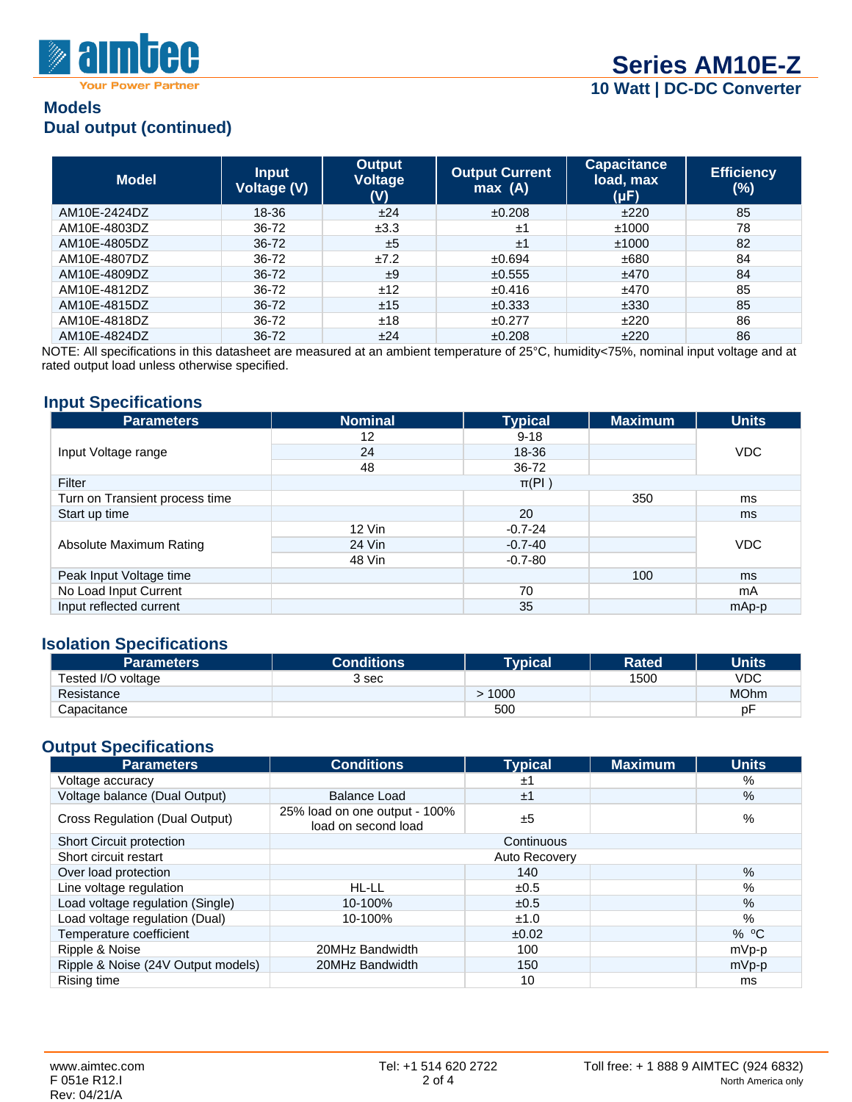

### **Models Dual output (continued)**

| <b>Model</b> | <b>Input</b><br><b>Voltage (V)</b> | <b>Output</b><br>Voltage<br>(V) | <b>Output Current</b><br>max(A) | <b>Capacitance</b><br>load, max<br>$(\mu F)$ | <b>Efficiency</b><br>$(\%)$ |
|--------------|------------------------------------|---------------------------------|---------------------------------|----------------------------------------------|-----------------------------|
| AM10F-2424DZ | 18-36                              | ±24                             | ±0.208                          | ±220                                         | 85                          |
| AM10E-4803DZ | 36-72                              | ±3.3                            | ±1                              | ±1000                                        | 78                          |
| AM10E-4805DZ | 36-72                              | ±5                              | ±1                              | ±1000                                        | 82                          |
| AM10E-4807DZ | 36-72                              | ±7.2                            | ±0.694                          | ±680                                         | 84                          |
| AM10E-4809DZ | 36-72                              | ±9                              | ±0.555                          | ±470                                         | 84                          |
| AM10E-4812DZ | 36-72                              | ±12                             | ±0.416                          | ±470                                         | 85                          |
| AM10E-4815DZ | 36-72                              | ±15                             | ±0.333                          | ±330                                         | 85                          |
| AM10E-4818DZ | 36-72                              | ±18                             | ±0.277                          | ±220                                         | 86                          |
| AM10E-4824DZ | 36-72                              | ±24                             | ±0.208                          | ±220                                         | 86                          |

NOTE: All specifications in this datasheet are measured at an ambient temperature of 25°C, humidity<75%, nominal input voltage and at rated output load unless otherwise specified.

#### **Input Specifications**

| <b>Parameters</b>              | <b>Nominal</b> | <b>Typical</b> | <b>Maximum</b> | <b>Units</b> |  |
|--------------------------------|----------------|----------------|----------------|--------------|--|
|                                | 12             | $9 - 18$       |                |              |  |
| Input Voltage range            | 24             | 18-36          |                | VDC          |  |
|                                | 48             | 36-72          |                |              |  |
| Filter                         |                | $\pi(PI)$      |                |              |  |
| Turn on Transient process time |                |                | 350            | ms           |  |
| Start up time                  |                | 20             |                | ms.          |  |
|                                | $12$ Vin       | $-0.7 - 24$    |                |              |  |
| Absolute Maximum Rating        | 24 Vin         | $-0.7 - 40$    |                | VDC          |  |
|                                | 48 Vin         | $-0.7 - 80$    |                |              |  |
| Peak Input Voltage time        |                |                | 100            | ms           |  |
| No Load Input Current          |                | 70             |                | mA           |  |
| Input reflected current        |                | 35             |                | mAp-p        |  |

#### **Isolation Specifications**

| <b>Parameters</b>  | <b>Conditions</b> | <b>Typical</b> | <b>Rated</b> | <b>Units</b> |
|--------------------|-------------------|----------------|--------------|--------------|
| Tested I/O voltage | 3 sec             |                | 1500         | VDC          |
| Resistance         |                   | 1000           |              | <b>MOhm</b>  |
| Capacitance        |                   | 500            |              | D٣           |

## **Output Specifications**

| <b>Parameters</b>                     | <b>Conditions</b>                                    | <b>Typical</b> | <b>Maximum</b> | <b>Units</b> |
|---------------------------------------|------------------------------------------------------|----------------|----------------|--------------|
| Voltage accuracy                      |                                                      | ±1             |                | %            |
| Voltage balance (Dual Output)         | <b>Balance Load</b>                                  | ±1             |                | $\%$         |
| <b>Cross Regulation (Dual Output)</b> | 25% load on one output - 100%<br>load on second load | ±5             |                | %            |
| <b>Short Circuit protection</b>       |                                                      | Continuous     |                |              |
| Short circuit restart                 |                                                      | Auto Recovery  |                |              |
| Over load protection                  |                                                      | 140            |                | $\%$         |
| Line voltage regulation               | HL-LL                                                | ±0.5           |                | %            |
| Load voltage regulation (Single)      | 10-100%                                              | ±0.5           |                | %            |
| Load voltage regulation (Dual)        | 10-100%                                              | ±1.0           |                | $\%$         |
| Temperature coefficient               |                                                      | ±0.02          |                | $%$ °C       |
| Ripple & Noise                        | 20MHz Bandwidth                                      | 100            |                | mVp-p        |
| Ripple & Noise (24V Output models)    | 20MHz Bandwidth                                      | 150            |                | $mVp-p$      |
| Rising time                           |                                                      | 10             |                | ms           |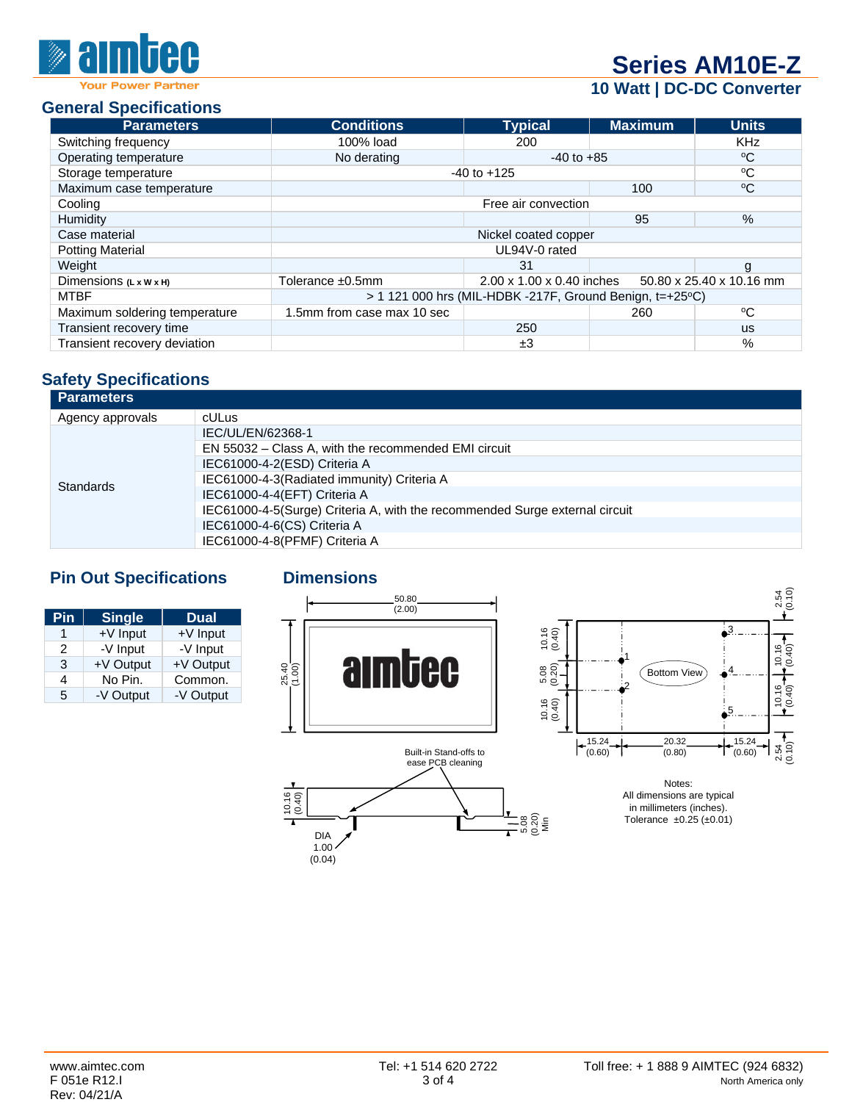# **[Series AM10E-Z](http://www.aimtec.com/am10e-z)**

## **10 Watt | DC-DC Converter**

#### **General Specifications**

| <b>Parameters</b>                  | <b>Conditions</b>                                          | <b>Typical</b>            | <b>Maximum</b> | <b>Units</b>             |  |
|------------------------------------|------------------------------------------------------------|---------------------------|----------------|--------------------------|--|
| Switching frequency                | 100% load                                                  | 200                       |                | <b>KHz</b>               |  |
| Operating temperature              | No derating                                                | $-40$ to $+85$            |                | °C                       |  |
| Storage temperature                |                                                            | $-40$ to $+125$           |                | °C                       |  |
| Maximum case temperature           |                                                            |                           | 100            | $\rm ^{o}C$              |  |
| Cooling                            |                                                            | Free air convection       |                |                          |  |
| Humidity                           |                                                            |                           | 95             | %                        |  |
| Case material                      |                                                            | Nickel coated copper      |                |                          |  |
| <b>Potting Material</b>            |                                                            | UL94V-0 rated             |                |                          |  |
| Weight                             |                                                            | 31                        |                | g                        |  |
| Dimensions $(L \times W \times H)$ | Tolerance ±0.5mm                                           | 2.00 x 1.00 x 0.40 inches |                | 50.80 x 25.40 x 10.16 mm |  |
| <b>MTBF</b>                        | $>$ 1 121 000 hrs (MIL-HDBK -217F, Ground Benign, t=+25°C) |                           |                |                          |  |
| Maximum soldering temperature      | 1.5mm from case max 10 sec                                 |                           | 260            | °C                       |  |
| Transient recovery time            |                                                            | 250                       |                | <b>us</b>                |  |
| Transient recovery deviation       |                                                            | ±3                        |                | %                        |  |

## **Safety Specifications**

| <b>Parameters</b> |                                                                             |
|-------------------|-----------------------------------------------------------------------------|
| Agency approvals  | <b>cULus</b>                                                                |
| <b>Standards</b>  | IEC/UL/EN/62368-1                                                           |
|                   | EN 55032 - Class A, with the recommended EMI circuit                        |
|                   | IEC61000-4-2(ESD) Criteria A                                                |
|                   | IEC61000-4-3(Radiated immunity) Criteria A                                  |
|                   | IEC61000-4-4(EFT) Criteria A                                                |
|                   | IEC61000-4-5(Surge) Criteria A, with the recommended Surge external circuit |
|                   | IEC61000-4-6(CS) Criteria A                                                 |
|                   | IEC61000-4-8(PFMF) Criteria A                                               |

## **Pin Out Specifications Dimensions**

| Pin             | <b>Single</b> | <b>Dual</b> |
|-----------------|---------------|-------------|
| $+V$ Input<br>1 |               | $+V$ Input  |
| 2               | -V Input      | -V Input    |
| 3               | +V Output     | +V Output   |
| Δ               | No Pin.       | Common.     |
| 5               | -V Output     | -V Output   |